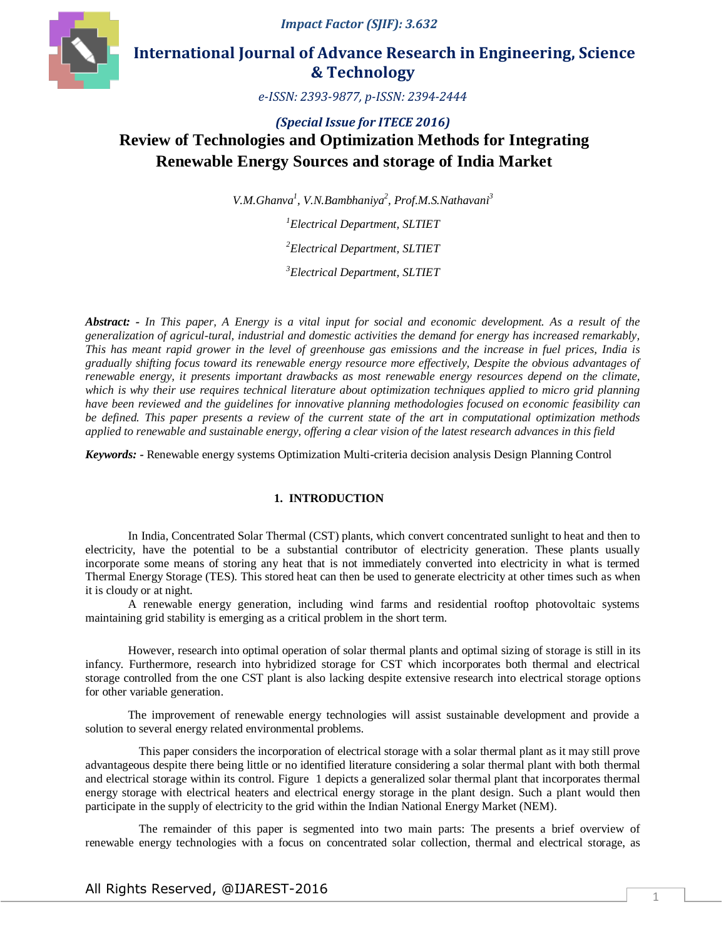*Impact Factor (SJIF): 3.632*



# **International Journal of Advance Research in Engineering, Science & Technology**

*e-ISSN: 2393-9877, p-ISSN: 2394-2444*

# *(Special Issue for ITECE 2016)* **Review of Technologies and Optimization Methods for Integrating Renewable Energy Sources and storage of India Market**

*V.M.Ghanva<sup>1</sup> , V.N.Bambhaniya<sup>2</sup> , Prof.M.S.Nathavani<sup>3</sup>*

*<sup>1</sup>Electrical Department, SLTIET <sup>2</sup>Electrical Department, SLTIET <sup>3</sup>Electrical Department, SLTIET*

*Abstract: - In This paper, A Energy is a vital input for social and economic development. As a result of the generalization of agricul-tural, industrial and domestic activities the demand for energy has increased remarkably, This has meant rapid grower in the level of greenhouse gas emissions and the increase in fuel prices, India is gradually shifting focus toward its renewable energy resource more effectively, Despite the obvious advantages of renewable energy, it presents important drawbacks as most renewable energy resources depend on the climate, which is why their use requires technical literature about optimization techniques applied to micro grid planning have been reviewed and the guidelines for innovative planning methodologies focused on economic feasibility can be defined. This paper presents a review of the current state of the art in computational optimization methods applied to renewable and sustainable energy, offering a clear vision of the latest research advances in this field*

*Keywords: -* Renewable energy systems Optimization Multi-criteria decision analysis Design Planning Control

## **1. INTRODUCTION**

In India, Concentrated Solar Thermal (CST) plants, which convert concentrated sunlight to heat and then to electricity, have the potential to be a substantial contributor of electricity generation. These plants usually incorporate some means of storing any heat that is not immediately converted into electricity in what is termed Thermal Energy Storage (TES). This stored heat can then be used to generate electricity at other times such as when it is cloudy or at night.

A renewable energy generation, including wind farms and residential rooftop photovoltaic systems maintaining grid stability is emerging as a critical problem in the short term.

However, research into optimal operation of solar thermal plants and optimal sizing of storage is still in its infancy. Furthermore, research into hybridized storage for CST which incorporates both thermal and electrical storage controlled from the one CST plant is also lacking despite extensive research into electrical storage options for other variable generation.

The improvement of renewable energy technologies will assist sustainable development and provide a solution to several energy related environmental problems.

This paper considers the incorporation of electrical storage with a solar thermal plant as it may still prove advantageous despite there being little or no identified literature considering a solar thermal plant with both thermal and electrical storage within its control. Figure 1 depicts a generalized solar thermal plant that incorporates thermal energy storage with electrical heaters and electrical energy storage in the plant design. Such a plant would then participate in the supply of electricity to the grid within the Indian National Energy Market (NEM).

The remainder of this paper is segmented into two main parts: The presents a brief overview of renewable energy technologies with a focus on concentrated solar collection, thermal and electrical storage, as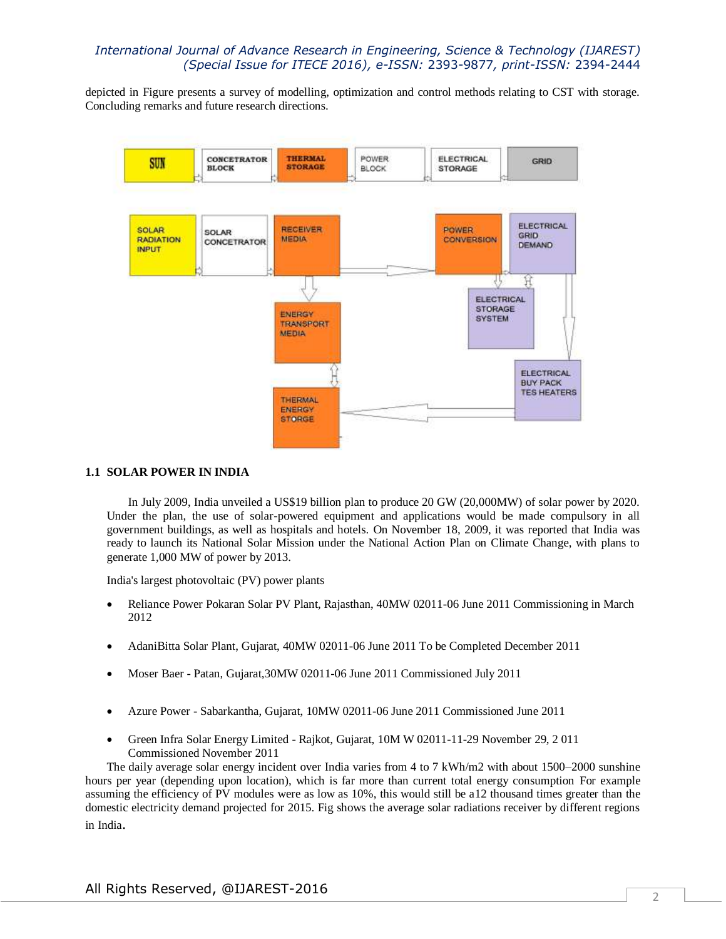depicted in Figure presents a survey of modelling, optimization and control methods relating to CST with storage. Concluding remarks and future research directions.



## **1.1 SOLAR POWER IN INDIA**

In July 2009, India unveiled a US\$19 billion plan to produce 20 GW (20,000MW) of solar power by 2020. Under the plan, the use of solar-powered equipment and applications would be made compulsory in all government buildings, as well as hospitals and hotels. On November 18, 2009, it was reported that India was ready to launch its National Solar Mission under the National Action Plan on Climate Change, with plans to generate 1,000 MW of power by 2013.

India's largest photovoltaic (PV) power plants

- Reliance Power Pokaran Solar PV Plant, Rajasthan, 40MW 02011-06 June 2011 Commissioning in March 2012
- AdaniBitta Solar Plant, Gujarat, 40MW 02011-06 June 2011 To be Completed December 2011
- Moser Baer Patan, Gujarat,30MW 02011-06 June 2011 Commissioned July 2011
- Azure Power Sabarkantha, Gujarat, 10MW 02011-06 June 2011 Commissioned June 2011
- Green Infra Solar Energy Limited Rajkot, Gujarat, 10M W 02011-11-29 November 29, 2 011 Commissioned November 2011

The daily average solar energy incident over India varies from 4 to 7 kWh/m2 with about 1500–2000 sunshine hours per year (depending upon location), which is far more than current total energy consumption For example assuming the efficiency of PV modules were as low as 10%, this would still be a12 thousand times greater than the domestic electricity demand projected for 2015. Fig shows the average solar radiations receiver by different regions in India.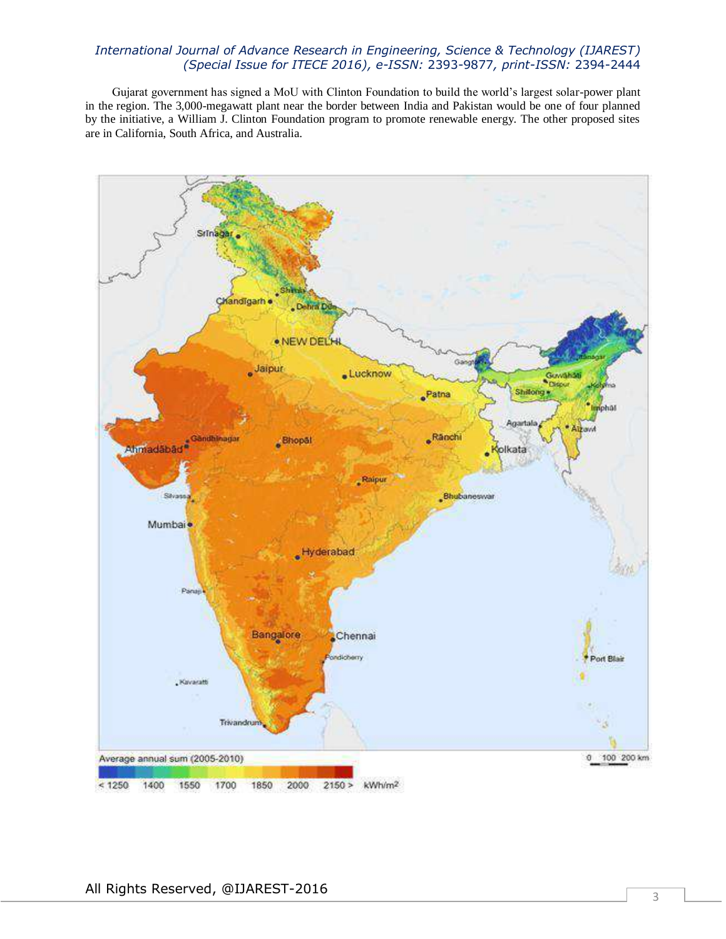Gujarat government has signed a MoU with Clinton Foundation to build the world's largest solar-power plant in the region. The 3,000-megawatt plant near the border between India and Pakistan would be one of four planned by the initiative, a William J. Clinton Foundation program to promote renewable energy. The other proposed sites are in California, South Africa, and Australia.

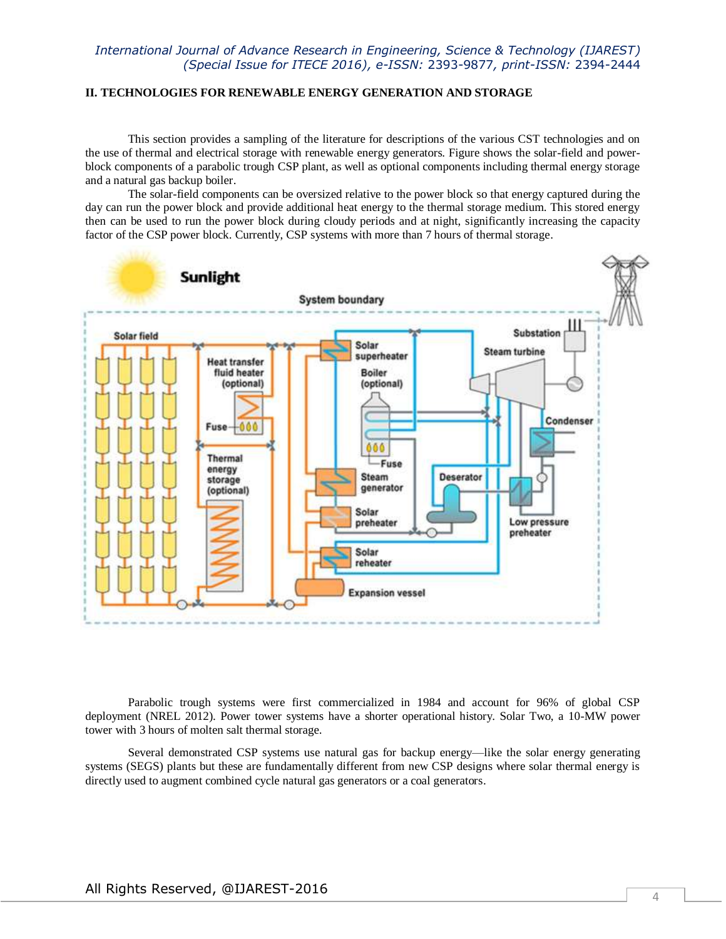### **II. TECHNOLOGIES FOR RENEWABLE ENERGY GENERATION AND STORAGE**

This section provides a sampling of the literature for descriptions of the various CST technologies and on the use of thermal and electrical storage with renewable energy generators. Figure shows the solar-field and powerblock components of a parabolic trough CSP plant, as well as optional components including thermal energy storage and a natural gas backup boiler.

The solar-field components can be oversized relative to the power block so that energy captured during the day can run the power block and provide additional heat energy to the thermal storage medium. This stored energy then can be used to run the power block during cloudy periods and at night, significantly increasing the capacity factor of the CSP power block. Currently, CSP systems with more than 7 hours of thermal storage.



Parabolic trough systems were first commercialized in 1984 and account for 96% of global CSP deployment (NREL 2012). Power tower systems have a shorter operational history. Solar Two, a 10-MW power tower with 3 hours of molten salt thermal storage.

Several demonstrated CSP systems use natural gas for backup energy—like the solar energy generating systems (SEGS) plants but these are fundamentally different from new CSP designs where solar thermal energy is directly used to augment combined cycle natural gas generators or a coal generators.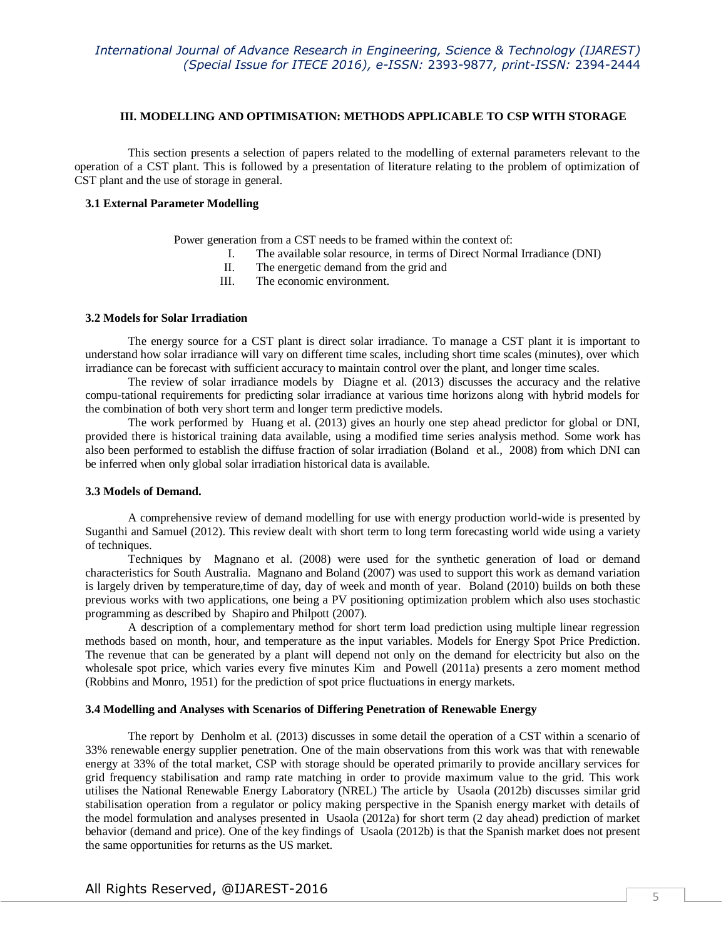#### **III. MODELLING AND OPTIMISATION: METHODS APPLICABLE TO CSP WITH STORAGE**

This section presents a selection of papers related to the modelling of external parameters relevant to the operation of a CST plant. This is followed by a presentation of literature relating to the problem of optimization of CST plant and the use of storage in general.

#### **3.1 External Parameter Modelling**

Power generation from a CST needs to be framed within the context of:

- I. The available solar resource, in terms of Direct Normal Irradiance (DNI)
- II. The energetic demand from the grid and<br>III. The economic environment.
- The economic environment.

#### **3.2 Models for Solar Irradiation**

The energy source for a CST plant is direct solar irradiance. To manage a CST plant it is important to understand how solar irradiance will vary on different time scales, including short time scales (minutes), over which irradiance can be forecast with sufficient accuracy to maintain control over the plant, and longer time scales.

The review of solar irradiance models by Diagne et al. (2013) discusses the accuracy and the relative compu-tational requirements for predicting solar irradiance at various time horizons along with hybrid models for the combination of both very short term and longer term predictive models.

The work performed by Huang et al. (2013) gives an hourly one step ahead predictor for global or DNI, provided there is historical training data available, using a modified time series analysis method. Some work has also been performed to establish the diffuse fraction of solar irradiation (Boland et al., 2008) from which DNI can be inferred when only global solar irradiation historical data is available.

#### **3.3 Models of Demand.**

A comprehensive review of demand modelling for use with energy production world-wide is presented by Suganthi and Samuel (2012). This review dealt with short term to long term forecasting world wide using a variety of techniques.

Techniques by Magnano et al. (2008) were used for the synthetic generation of load or demand characteristics for South Australia. Magnano and Boland (2007) was used to support this work as demand variation is largely driven by temperature,time of day, day of week and month of year. Boland (2010) builds on both these previous works with two applications, one being a PV positioning optimization problem which also uses stochastic programming as described by Shapiro and Philpott (2007).

A description of a complementary method for short term load prediction using multiple linear regression methods based on month, hour, and temperature as the input variables. Models for Energy Spot Price Prediction. The revenue that can be generated by a plant will depend not only on the demand for electricity but also on the wholesale spot price, which varies every five minutes Kim and Powell (2011a) presents a zero moment method (Robbins and Monro, 1951) for the prediction of spot price fluctuations in energy markets.

#### **3.4 Modelling and Analyses with Scenarios of Differing Penetration of Renewable Energy**

The report by Denholm et al. (2013) discusses in some detail the operation of a CST within a scenario of 33% renewable energy supplier penetration. One of the main observations from this work was that with renewable energy at 33% of the total market, CSP with storage should be operated primarily to provide ancillary services for grid frequency stabilisation and ramp rate matching in order to provide maximum value to the grid. This work utilises the National Renewable Energy Laboratory (NREL) The article by Usaola (2012b) discusses similar grid stabilisation operation from a regulator or policy making perspective in the Spanish energy market with details of the model formulation and analyses presented in Usaola (2012a) for short term (2 day ahead) prediction of market behavior (demand and price). One of the key findings of Usaola (2012b) is that the Spanish market does not present the same opportunities for returns as the US market.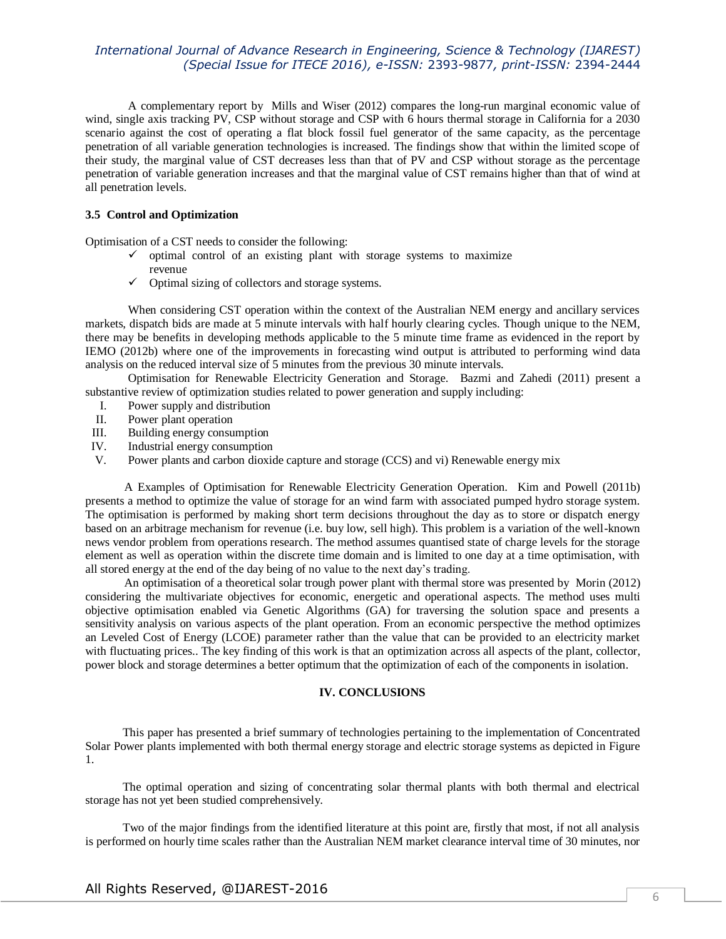A complementary report by Mills and Wiser (2012) compares the long-run marginal economic value of wind, single axis tracking PV, CSP without storage and CSP with 6 hours thermal storage in California for a 2030 scenario against the cost of operating a flat block fossil fuel generator of the same capacity, as the percentage penetration of all variable generation technologies is increased. The findings show that within the limited scope of their study, the marginal value of CST decreases less than that of PV and CSP without storage as the percentage penetration of variable generation increases and that the marginal value of CST remains higher than that of wind at all penetration levels.

## **3.5 Control and Optimization**

Optimisation of a CST needs to consider the following:

- $\checkmark$  optimal control of an existing plant with storage systems to maximize revenue
- $\checkmark$  Optimal sizing of collectors and storage systems.

When considering CST operation within the context of the Australian NEM energy and ancillary services markets, dispatch bids are made at 5 minute intervals with half hourly clearing cycles. Though unique to the NEM, there may be benefits in developing methods applicable to the 5 minute time frame as evidenced in the report by IEMO (2012b) where one of the improvements in forecasting wind output is attributed to performing wind data analysis on the reduced interval size of 5 minutes from the previous 30 minute intervals.

Optimisation for Renewable Electricity Generation and Storage. Bazmi and Zahedi (2011) present a substantive review of optimization studies related to power generation and supply including:

- I. Power supply and distribution
- II. Power plant operation
- III. Building energy consumption
- IV. Industrial energy consumption
- V. Power plants and carbon dioxide capture and storage (CCS) and vi) Renewable energy mix

 A Examples of Optimisation for Renewable Electricity Generation Operation. Kim and Powell (2011b) presents a method to optimize the value of storage for an wind farm with associated pumped hydro storage system. The optimisation is performed by making short term decisions throughout the day as to store or dispatch energy based on an arbitrage mechanism for revenue (i.e. buy low, sell high). This problem is a variation of the well-known news vendor problem from operations research. The method assumes quantised state of charge levels for the storage element as well as operation within the discrete time domain and is limited to one day at a time optimisation, with all stored energy at the end of the day being of no value to the next day's trading.

 An optimisation of a theoretical solar trough power plant with thermal store was presented by Morin (2012) considering the multivariate objectives for economic, energetic and operational aspects. The method uses multi objective optimisation enabled via Genetic Algorithms (GA) for traversing the solution space and presents a sensitivity analysis on various aspects of the plant operation. From an economic perspective the method optimizes an Leveled Cost of Energy (LCOE) parameter rather than the value that can be provided to an electricity market with fluctuating prices.. The key finding of this work is that an optimization across all aspects of the plant, collector, power block and storage determines a better optimum that the optimization of each of the components in isolation.

#### **IV. CONCLUSIONS**

This paper has presented a brief summary of technologies pertaining to the implementation of Concentrated Solar Power plants implemented with both thermal energy storage and electric storage systems as depicted in Figure 1.

The optimal operation and sizing of concentrating solar thermal plants with both thermal and electrical storage has not yet been studied comprehensively.

Two of the major findings from the identified literature at this point are, firstly that most, if not all analysis is performed on hourly time scales rather than the Australian NEM market clearance interval time of 30 minutes, nor